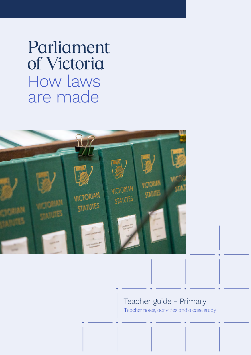Parliament of Victoria How laws are made



## Teacher guide - Primary Teacher notes, activities and a case study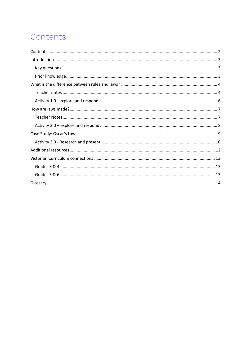# Contents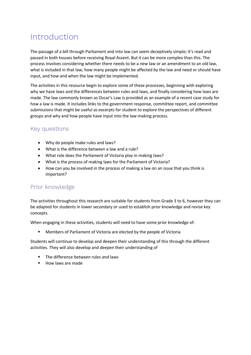# Introduction

The passage of a bill through Parliament and into law can seem deceptively simple; it's read and passed in both houses before receiving Royal Assent. But it can be more complex than this. The process involves considering whether there needs to be a new law or an amendment to an old law, what is included in that law, how many people might be affected by the law and need or should have input, and how and when the law might be implemented.

The activities in this resource begin to explore some of these processes, beginning with exploring why we have laws and the differences between rules and laws, and finally considering how laws are made. The law commonly known as Oscar's Law is provided as an example of a recent case study for how a law is made. It includes links to the government response, committee report, and committee submissions that might be useful as excerpts for student to explore the perspectives of different groups and why and how people have input into the law-making process.

### Key questions

- Why do people make rules and laws?
- What is the difference between a law and a rule?
- What role does the Parliament of Victoria play in making laws?
- What is the process of making laws for the Parliament of Victoria?
- How can you be involved in the process of making a law on an issue that you think is important?

### Prior knowledge

The activities throughout this research are suitable for students from Grade 3 to 6, however they can be adapted for students in lower secondary or used to establish prior knowledge and revise key concepts.

When engaging in these activities, students will need to have some prior knowledge of:

■ Members of Parliament of Victoria are elected by the people of Victoria

Students will continue to develop and deepen their understanding of this through the different activities. They will also develop and deepen their understanding of

- § The difference between rules and laws
- How laws are made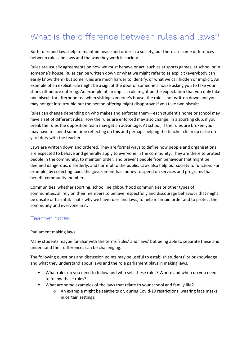# What is the difference between rules and laws?

Both rules and laws help to maintain peace and order in a society, but there are some differences between rules and laws and the way they work in society.

Rules are usually agreements on how we must behave or act, such as at sports games, at school or in someone's house. Rules can be written down or what we might refer to as explicit (everybody can easily know them) but some rules are much harder to identify, or what we call hidden or implicit. An example of an explicit rule might be a sign at the door of someone's house asking you to take your shoes off before entering. An example of an implicit rule might be the expectation that you only take one biscuit for afternoon tea when visiting someone's house; the rule is not written down and you may not get into trouble but the person offering might disapprove if you take two biscuits.

Rules can change depending on who makes and enforces them—each student's home or school may have a set of different rules. How the rules are enforced may also change. In a sporting club, if you break the rules the opposition team may get an advantage. At school, if the rules are broken you may have to spend some time reflecting on this and perhaps helping the teacher clean up or be on yard duty with the teacher.

Laws are written down and ordered. They are formal ways to define how people and organisations are expected to behave and generally apply to everyone in the community. They are there to protect people in the community, to maintain order, and prevent people from behaviour that might be deemed dangerous, disorderly, and harmful to the public. Laws also help our society to function. For example, by collecting taxes the government has money to spend on services and programs that benefit community members.

Communities, whether sporting, school, neighbourhood communities or other types of communities, all rely on their members to behave respectfully and discourage behaviour that might be unsafe or harmful. That's why we have rules and laws; to help maintain order and to protect the community and everyone in it.

### Teacher notes

#### Parliament making laws

Many students maybe familiar with the terms 'rules' and 'laws' but being able to separate these and understand their differences can be challenging.

The following questions and discussion points may be useful to establish students' prior knowledge and what they understand about laws and the role parliament plays in making laws.

- § What rules do you need to follow and who sets these rules? Where and when do you need to follow these rules?
- § What are some examples of the laws that relate to your school and family life?
	- $\circ$  An example might be seatbelts or, during Covid-19 restrictions, wearing face masks in certain settings.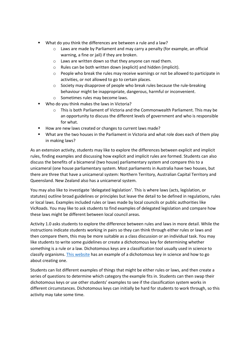- § What do you think the differences are between a rule and a law?
	- o Laws are made by Parliament and may carry a penalty (for example, an official warning, a fine or jail) if they are broken.
	- o Laws are written down so that they anyone can read them.
	- o Rules can be both written down (explicit) and hidden (implicit).
	- $\circ$  People who break the rules may receive warnings or not be allowed to participate in activities, or not allowed to go to certain places.
	- o Society may disapprove of people who break rules because the rule-breaking behaviour might be inappropriate, dangerous, harmful or inconvenient.
	- o Sometimes rules may become laws.
- § Who do you think makes the laws in Victoria?
	- $\circ$  This is both Parliament of Victoria and the Commonwealth Parliament. This may be an opportunity to discuss the different levels of government and who is responsible for what.
- How are new laws created or changes to current laws made?
- What are the two houses in the Parliament in Victoria and what role does each of them play in making laws?

As an extension activity, students may like to explore the differences between explicit and implicit rules, finding examples and discussing how explicit and implicit rules are formed. Students can also discuss the benefits of a bicameral (two house) parliamentary system and compare this to a unicameral (one house parliamentary system. Most parliaments in Australia have two houses, but there are three that have a unicameral system: Northern Territory, Australian Capital Territory and Queensland. New Zealand also has a unicameral system.

You may also like to investigate 'delegated legislation'. This is where laws (acts, legislation, or statutes) outline broad guidelines or principles but leave the detail to be defined in regulations, rules or local laws. Examples included rules or laws made by local councils or public authorities like VicRoads. You may like to ask students to find examples of delegated legislation and compare how these laws might be different between local council areas.

Activity 1.0 asks students to explore the difference between rules and laws in more detail. While the instructions indicate students working in pairs so they can think through either rules or laws and then compare them, this may be more suitable as a class discussion or an individual task. You may like students to write some guidelines or create a dichotomous key for determining whether something is a rule or a law. Dichotomous keys are a classification tool usually used in science to classify organisms. This website has an example of a dichotomous key in science and how to go about creating one.

Students can list different examples of things that might be either rules or laws, and then create a series of questions to determine which category the example fits in. Students can then swap their dichotomous keys or use other students' examples to see if the classification system works in different circumstances. Dichotomous keys can initially be hard for students to work through, so this activity may take some time.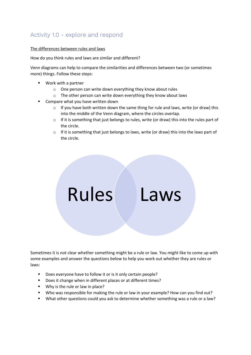## Activity 1.0 - explore and respond

#### The differences between rules and laws

How do you think rules and laws are similar and different?

Venn diagrams can help to compare the similarities and differences between two (or sometimes more) things. Follow these steps:

- Work with a partner
	- o One person can write down everything they know about rules
	- o The other person can write down everything they know about laws
- § Compare what you have written down
	- $\circ$  If you have both written down the same thing for rule and laws, write (or draw) this into the middle of the Venn diagram, where the circles overlap.
	- o If it is something that just belongs to rules, write (or draw) this into the rules part of the circle.
	- $\circ$  If it is something that just belongs to laws, write (or draw) this into the laws part of the circle.



Sometimes it is not clear whether something might be a rule or law. You might like to come up with some examples and answer the questions below to help you work out whether they are rules or laws:

- Does everyone have to follow it or is it only certain people?
- Does it change when in different places or at different times?
- Why is the rule or law in place?
- Who was responsible for making the rule or law in your example? How can you find out?
- § What other questions could you ask to determine whether something was a rule or a law?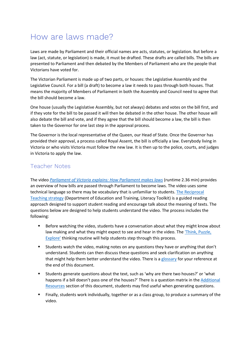## How are laws made?

Laws are made by Parliament and their official names are acts, statutes, or legislation. But before a law (act, statute, or legislation) is made, it must be drafted. These drafts are called bills. The bills are presented to Parliament and then debated by the Members of Parliament who are the people that Victorians have voted for.

The Victorian Parliament is made up of two parts, or houses: the Legislative Assembly and the Legislative Council. For a bill (a draft) to become a law it needs to pass through both houses. That means the majority of Members of Parliament in both the Assembly and Council need to agree that the bill should become a law.

One house (usually the Legislative Assembly, but not always) debates and votes on the bill first, and if they vote for the bill to be passed it will then be debated in the other house. The other house will also debate the bill and vote, and if they agree that the bill should become a law, the bill is then taken to the Governor for one last step in the approval process.

The Governor is the local representative of the Queen, our Head of State. Once the Governor has provided their approval, a process called Royal Assent, the bill is officially a law. Everybody living in Victoria or who visits Victoria must follow the new law. It is then up to the police, courts, and judges in Victoria to apply the law.

### Teacher Notes

The video *Parliament of Victoria explains: How Parliament makes laws* (runtime 2.36 min) provides an overview of how bills are passed through Parliament to become laws. The video uses some technical language so there may be vocabulary that is unfamiliar to students. The Reciprocal Teaching strategy (Department of Education and Training, Literacy Toolkit) is a guided reading approach designed to support student reading and encourage talk about the meaning of texts. The questions below are designed to help students understand the video. The process includes the following:

- Before watching the video, students have a conversation about what they might know about law making and what they might expect to see and hear in the video. The 'Think, Puzzle, Explore' thinking routine will help students step through this process.
- § Students watch the video, making notes on any questions they have or anything that don't understand. Students can then discuss these questions and seek clarification on anything that might help them better understand the video. There is a glossary for your reference at the end of this document.
- § Students generate questions about the text, such as 'why are there two houses?' or 'what happens if a bill doesn't pass one of the houses?' There is a question matrix in the Additional Resources section of this document, students may find useful when generating questions.
- § Finally, students work individually, together or as a class group, to produce a summary of the video.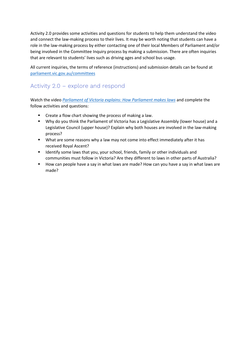Activity 2.0 provides some activities and questions for students to help them understand the video and connect the law-making process to their lives. It may be worth noting that students can have a role in the law-making process by either contacting one of their local Members of Parliament and/or being involved in the Committee Inquiry process by making a submission. There are often inquiries that are relevant to students' lives such as driving ages and school bus usage.

All current inquiries, the terms of reference (instructions) and submission details can be found at parliament.vic.gov.au/committees

### Activity 2.0 – explore and respond

Watch the video *Parliament of Victoria explains: How Parliament makes laws* and complete the follow activities and questions:

- Create a flow chart showing the process of making a law.
- Why do you think the Parliament of Victoria has a Legislative Assembly (lower house) and a Legislative Council (upper house)? Explain why both houses are involved in the law-making process?
- § What are some reasons why a law may not come into effect immediately after it has received Royal Ascent?
- Identify some laws that you, your school, friends, family or other individuals and communities must follow in Victoria? Are they different to laws in other parts of Australia?
- How can people have a say in what laws are made? How can you have a say in what laws are made?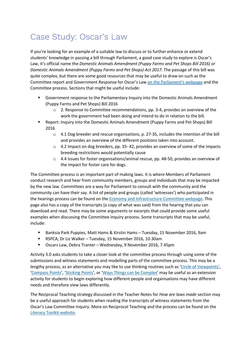# Case Study: Oscar's Law

If you're looking for an example of a suitable law to discuss or to further enhance or extend students' knowledge in passing a bill through Parliament, a good case study to explore is Oscar's Law, it's official name the *Domestic Animals Amendment (Puppy Farms and Pet Shops Bill 2016) or Domestic Animals Amendment (Puppy Farms and Pet Shops) Act 2017.* The passage of this bill was quite complex, but there are some good resources that may be useful to draw on such as the Committee report and Government Response for Oscar's Law on the Parliament's webpage and the Committee process. Sections that might be useful include:

- Government response to the Parliamentary Inquiry into the Domestic Animals Amendment (Puppy Farms and Pet Shops) Bill 2016
	- $\circ$  2. Response to Committee recommendations, pp. 3-4, provides an overview of the work the government had been doing and intend to do in relation to the bill.
- § Report: Inquiry into the Domestic Animals Amendment (Puppy Farms and Pet Shops) Bill 2016
	- o 4.1 Dog breeder and rescue organisations, p. 27-35, includes the intention of the bill and provides an overview of the different positions taken into account.
	- $\circ$  4.2 Impact on dog breeders, pp. 35-42, provides an overview of some of the impacts breeding restrictions would potentially cause
	- o 4.4 Issues for foster organisations/animal rescue, pp. 48-50, provides an overview of the impact for foster care for dogs.

The Committee process is an important part of making laws. It is where Members of Parliament conduct research and hear from community members, groups and individuals that may be impacted by the new law. Committees are a way for Parliament to consult with the community and the community can have their say. A list of people and groups (called 'witnesses') who participated in the hearings process can be found on the Economy and Infrastructure Committee webpage. This page also has a copy of the transcripts (a copy of what was said) from the hearing that you can download and read. There may be some arguments or excerpts that could provide some useful examples when discussing the Committee inquiry process. Some transcripts that may be useful, include:

- § Banksia Park Puppies, Matt Hams & Kirstin Hams Tuesday, 15 November 2016, 9am
- § RSPCA, Dr Liz Walker Tuesday, 15 November 2016, 10.30am
- § Oscars Law, Debra Tranter Wednesday, 9 November 2016, 7.45pm

Activity 3.0 asks students to take a closer look at the committee process through using some of the submissions and witness statements and modelling parts of the committee process. This may be a lengthy process, as an alternative you may like to use thinking routines such as 'Circle of Viewpoints', 'Compass Points', 'Sticking Points', or 'Ways Things can be Complex' may be useful as an extension activity for students to begin exploring how different people and organisations may have different needs and therefore view laws differently.

The Reciprocal Teaching strategy discussed in the Teacher Notes for *How are laws made* section may be a useful approach for students when reading the transcripts of witness statements from the Oscar's Law Committee Inquiry. More on Reciprocal Teaching and the process can be found on the Literacy Toolkit website.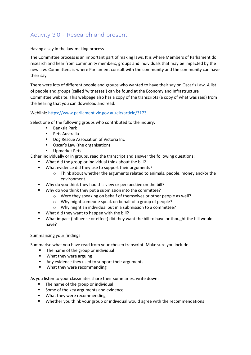### Activity 3.0 - Research and present

#### Having a say in the law-making process

The Committee process is an important part of making laws. It is where Members of Parliament do research and hear from community members, groups and individuals that may be impacted by the new law. Committees is where Parliament consult with the community and the community can have their say.

There were lots of different people and groups who wanted to have their say on Oscar's Law. A list of people and groups (called 'witnesses') can be found at the Economy and Infrastructure Committee website. This webpage also has a copy of the transcripts (a copy of what was said) from the hearing that you can download and read.

#### Weblink: https://www.parliament.vic.gov.au/eic/article/3173

Select one of the following groups who contributed to the inquiry:

- Banksia Park
- Pets Australia
- Dog Rescue Association of Victoria Inc
- Oscar's Law (the organisation)
- § Upmarket Pets

Either individually or in groups, read the transcript and answer the following questions:

- § What did the group or individual think about the bill?
- What evidence did they use to support their arguments?
	- $\circ$  Think about whether the arguments related to animals, people, money and/or the environment.
- § Why do you think they had this view or perspective on the bill?
- Why do you think they put a submission into the committee?
	- o Were they speaking on behalf of themselves or other people as well?
	- o Why might someone speak on behalf of a group of people?
	- o Why might an individual put in a submission to a committee?
- § What did they want to happen with the bill?
- § What impact (influence or effect) did they want the bill to have or thought the bill would have?

#### Summarising your findings

Summarise what you have read from your chosen transcript. Make sure you include:

- The name of the group or individual
- § What they were arguing
- Any evidence they used to support their arguments
- What they were recommending

As you listen to your classmates share their summaries, write down:

- The name of the group or individual
- Some of the key arguments and evidence
- What they were recommending
- **■** Whether you think your group or individual would agree with the recommendations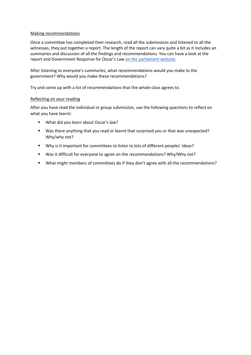#### Making recommendations

Once a committee has completed their research, read all the submissions and listened to all the witnesses, they put together a report. The length of the report can vary quite a bit as it includes an summaries and discussion of all the findings and recommendations. You can have a look at the report and Government Response for Oscar's Law on the parliament website.

After listening to everyone's summaries, what recommendations would you make to the government? Why would you make these recommendations?

Try and come up with a list of recommendations that the whole class agrees to.

#### Reflecting on your reading

After you have read the individual or group submission, use the following questions to reflect on what you have learnt:

- What did you learn about Oscar's law?
- § Was there anything that you read or learnt that surprised you or that was unexpected? Why/why not?
- § Why is it important for committees to listen to lots of different peoples' ideas?
- Was it difficult for everyone to agree on the recommendations? Why/Why not?
- What might members of committees do if they don't agree with all the recommendations?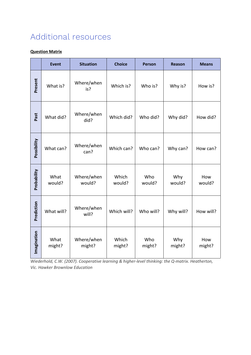# Additional resources

#### **Question Matrix**

|             | <b>Event</b>   | <b>Situation</b>     | <b>Choice</b>   | <b>Person</b> | <b>Reason</b> | <b>Means</b>  |
|-------------|----------------|----------------------|-----------------|---------------|---------------|---------------|
| Present     | What is?       | Where/when<br>is?    | Which is?       | Who is?       | Why is?       | How is?       |
| Past        | What did?      | Where/when<br>did?   | Which did?      | Who did?      | Why did?      | How did?      |
| Possibility | What can?      | Where/when<br>can?   | Which can?      | Who can?      | Why can?      | How can?      |
| Probability | What<br>would? | Where/when<br>would? | Which<br>would? | Who<br>would? | Why<br>would? | How<br>would? |
| Prediction  | What will?     | Where/when<br>will?  | Which will?     | Who will?     | Why will?     | How will?     |
| Imagination | What<br>might? | Where/when<br>might? | Which<br>might? | Who<br>might? | Why<br>might? | How<br>might? |

*Wiederhold, C.W. (2007). Cooperative learning & higher-level thinking: the Q-matrix. Heatherton, Vic. Hawker Brownlow Education*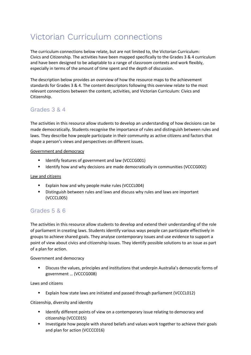# Victorian Curriculum connections

The curriculum connections below relate, but are not limited to, the Victorian Curriculum: Civics and Citizenship. The activities have been mapped specifically to the Grades 3 & 4 curriculum and have been designed to be adaptable to a range of classroom contexts and work flexibly, especially in terms of the amount of time spent and the depth of discussion.

The description below provides an overview of how the resource maps to the achievement standards for Grades 3 & 4. The content descriptors following this overview relate to the most relevant connections between the content, activities, and Victorian Curriculum: Civics and Citizenship.

### Grades 3 & 4

The activities in this resource allow students to develop an understanding of how decisions can be made democratically. Students recognise the importance of rules and distinguish between rules and laws. They describe how people participate in their community as active citizens and factors that shape a person's views and perspectives on different issues.

#### Government and democracy

- Identify features of government and law (VCCCG001)
- § Identify how and why decisions are made democratically in communities (VCCCG002)

#### Law and citizens

- § Explain how and why people make rules (VCCCL004)
- § Distinguish between rules and laws and discuss why rules and laws are important (VCCCL005)

### Grades 5 & 6

The activities in this resource allow students to develop and extend their understanding of the role of parliament in creating laws. Students identify various ways people can participate effectively in groups to achieve shared goals. They analyse contemporary issues and use evidence to support a point of view about civics and citizenship issues. They identify possible solutions to an issue as part of a plan for action.

Government and democracy

**•** Discuss the values, principles and institutions that underpin Australia's democratic forms of government … (VCCCG008)

Laws and citizens

Explain how state laws are initiated and passed through parliament (VCCCL012)

Citizenship, diversity and identity

- Identify different points of view on a contemporary issue relating to democracy and citizenship (VCCC015)
- **■** Investigate how people with shared beliefs and values work together to achieve their goals and plan for action (VCCCC016)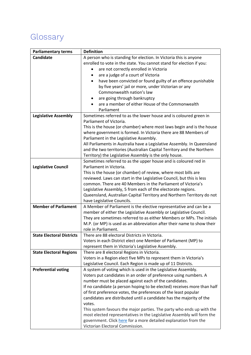# Glossary

| <b>Parliamentary terms</b>       | <b>Definition</b>                                                                                               |  |  |  |
|----------------------------------|-----------------------------------------------------------------------------------------------------------------|--|--|--|
| <b>Candidate</b>                 | A person who is standing for election. In Victoria this is anyone                                               |  |  |  |
|                                  | enrolled to vote in the state. You cannot stand for election if you:                                            |  |  |  |
|                                  | are not correctly enrolled in Victoria                                                                          |  |  |  |
|                                  | are a judge of a court of Victoria                                                                              |  |  |  |
|                                  | have been convicted or found guilty of an offence punishable                                                    |  |  |  |
|                                  | by five years' jail or more, under Victorian or any                                                             |  |  |  |
|                                  | Commonwealth nation's law                                                                                       |  |  |  |
|                                  | are going through bankruptcy                                                                                    |  |  |  |
|                                  | are a member of either House of the Commonwealth                                                                |  |  |  |
|                                  | Parliament                                                                                                      |  |  |  |
| <b>Legislative Assembly</b>      | Sometimes referred to as the lower house and is coloured green in                                               |  |  |  |
|                                  | Parliament of Victoria.                                                                                         |  |  |  |
|                                  | This is the house (or chamber) where most laws begin and is the house                                           |  |  |  |
|                                  | where government is formed. In Victoria there are 88 Members of                                                 |  |  |  |
|                                  | Parliament in the Legislative Assembly.                                                                         |  |  |  |
|                                  | All Parliaments in Australia have a Legislative Assembly. In Queensland                                         |  |  |  |
|                                  | and the two territories (Australian Capital Territory and the Northern                                          |  |  |  |
|                                  | Territory) the Legislative Assembly is the only house.                                                          |  |  |  |
|                                  | Sometimes referred to as the upper house and is coloured red in                                                 |  |  |  |
| <b>Legislative Council</b>       | Parliament in Victoria.                                                                                         |  |  |  |
|                                  | This is the house (or chamber) of review, where most bills are                                                  |  |  |  |
|                                  | reviewed. Laws can start in the Legislative Council, but this is less                                           |  |  |  |
|                                  | common. There are 40 Members in the Parliament of Victoria's                                                    |  |  |  |
|                                  | Legislative Assembly, 5 from each of the electorate regions.                                                    |  |  |  |
|                                  | Queensland, Australian Capital Territory and Northern Territory do not                                          |  |  |  |
|                                  | have Legislative Councils.                                                                                      |  |  |  |
| <b>Member of Parliament</b>      | A Member of Parliament is the elective representative and can be a                                              |  |  |  |
|                                  | member of either the Legislative Assembly or Legislative Council.                                               |  |  |  |
|                                  | They are sometimes referred to as either Members or MPs. The initials                                           |  |  |  |
|                                  | M.P. (or MP) is used as an abbreviation after their name to show their                                          |  |  |  |
|                                  | role in Parliament.                                                                                             |  |  |  |
| <b>State Electoral Districts</b> | There are 88 electoral Districts in Victoria.                                                                   |  |  |  |
|                                  | Voters in each District elect one Member of Parliament (MP) to                                                  |  |  |  |
|                                  | represent them in Victoria's Legislative Assembly.                                                              |  |  |  |
| <b>State Electoral Regions</b>   | There are 8 electoral Regions in Victoria.<br>Voters in a Region elect five MPs to represent them in Victoria's |  |  |  |
|                                  | Legislative Council. Each Region is made up of 11 Districts.                                                    |  |  |  |
| <b>Preferential voting</b>       | A system of voting which is used in the Legislative Assembly.                                                   |  |  |  |
|                                  | Voters put candidates in an order of preference using numbers. A                                                |  |  |  |
|                                  | number must be placed against each of the candidates.                                                           |  |  |  |
|                                  | If no candidate (a person hoping to be elected) receives more than half                                         |  |  |  |
|                                  | of first preference votes, the preferences of the least popular                                                 |  |  |  |
|                                  | candidates are distributed until a candidate has the majority of the                                            |  |  |  |
|                                  | votes.                                                                                                          |  |  |  |
|                                  | This system favours the major parties. The party who ends up with the                                           |  |  |  |
|                                  | most elected representatives in the Legislative Assembly will form the                                          |  |  |  |
|                                  | government. Click here for a more detailed explanation from the                                                 |  |  |  |
|                                  | Victorian Electoral Commission.                                                                                 |  |  |  |